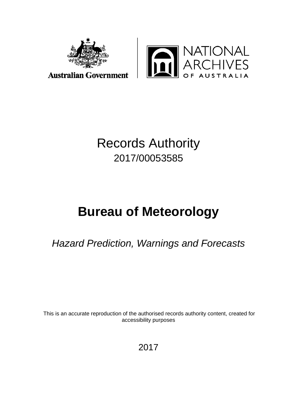



## Records Authority 2017/00053585

# **Bureau of Meteorology**

*Hazard Prediction, Warnings and Forecasts*

This is an accurate reproduction of the authorised records authority content, created for accessibility purposes

2017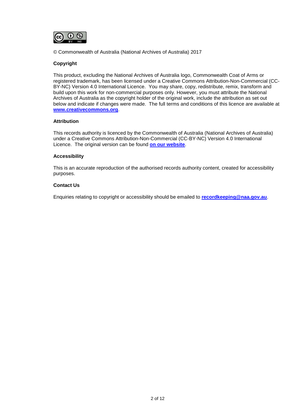

© Commonwealth of Australia (National Archives of Australia) 2017

#### **Copyright**

This product, excluding the National Archives of Australia logo, Commonwealth Coat of Arms or registered trademark, has been licensed under a Creative Commons Attribution-Non-Commercial (CC-BY-NC) Version 4.0 International Licence. You may share, copy, redistribute, remix, transform and build upon this work for non-commercial purposes only. However, you must attribute the National Archives of Australia as the copyright holder of the original work, include the attribution as set out below and indicate if changes were made. The full terms and conditions of this licence are available at **[www.creativecommons.org](http://www.creativecommons.org/)**.

#### **Attribution**

This records authority is licenced by the Commonwealth of Australia (National Archives of Australia) under a Creative Commons Attribution-Non-Commercial (CC-BY-NC) Version 4.0 International Licence. The original version can be found **[on our website](http://www.naa.gov.au/)**.

#### **Accessibility**

This is an accurate reproduction of the authorised records authority content, created for accessibility purposes.

#### **Contact Us**

Enquiries relating to copyright or accessibility should be emailed to **[recordkeeping@naa.gov.au](mailto:recordkeeping@naa.gov.au)**.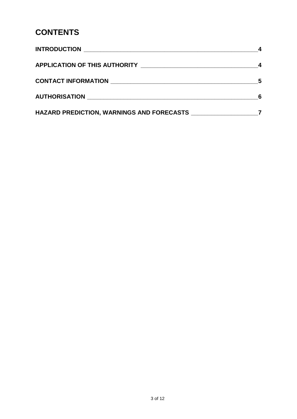### **CONTENTS**

|                                           | 5 |
|-------------------------------------------|---|
|                                           |   |
| HAZARD PREDICTION, WARNINGS AND FORECASTS |   |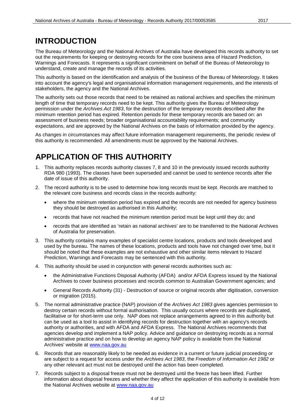#### <span id="page-3-0"></span>**INTRODUCTION**

The Bureau of Meteorology and the National Archives of Australia have developed this records authority to set out the requirements for keeping or destroying records for the core business area of Hazard Prediction, Warnings and Forecasts. It represents a significant commitment on behalf of the Bureau of Meteorology to understand, create and manage the records of its activities.

This authority is based on the identification and analysis of the business of the Bureau of Meteorology. It takes into account the agency's legal and organisational information management requirements, and the interests of stakeholders, the agency and the National Archives.

The authority sets out those records that need to be retained as national archives and specifies the minimum length of time that temporary records need to be kept. This authority gives the Bureau of Meteorology permission under the *Archives Act 1983*, for the destruction of the temporary records described after the minimum retention period has expired. Retention periods for these temporary records are based on: an assessment of business needs; broader organisational accountability requirements; and community expectations, and are approved by the National Archives on the basis of information provided by the agency.

As changes in circumstances may affect future information management requirements, the periodic review of this authority is recommended. All amendments must be approved by the National Archives.

### <span id="page-3-1"></span>**APPLICATION OF THIS AUTHORITY**

- 1. This authority replaces records authority classes 7, 8 and 10 in the previously issued records authority RDA 980 (1993). The classes have been superseded and cannot be used to sentence records after the date of issue of this authority.
- 2. The record authority is to be used to determine how long records must be kept. Records are matched to the relevant core business and records class in the records authority:
	- where the minimum retention period has expired and the records are not needed for agency business they should be destroyed as authorised in this Authority;
	- records that have not reached the minimum retention period must be kept until they do; and
	- records that are identified as 'retain as national archives' are to be transferred to the National Archives of Australia for preservation.
- 3. This authority contains many examples of specialist centre locations, products and tools developed and used by the bureau. The names of these locations, products and tools have not changed over time, but it should be noted that these examples are not exhaustive and other similar items relevant to Hazard Prediction, Warnings and Forecasts may be sentenced with this authority.
- 4. This authority should be used in conjunction with general records authorities such as:
	- the Administrative Functions Disposal Authority (AFDA) and/or AFDA Express issued by the National Archives to cover business processes and records common to Australian Government agencies; and
	- General Records Authority (31) Destruction of source or original records after digitisation, conversion or migration (2015).
- 5. The normal administrative practice (NAP) provision of the *Archives Act 1983* gives agencies permission to destroy certain records without formal authorisation. This usually occurs where records are duplicated, facilitative or for short-term use only. NAP does not replace arrangements agreed to in this authority but can be used as a tool to assist in identifying records for destruction together with an agency's records authority or authorities, and with AFDA and AFDA Express. The National Archives recommends that agencies develop and implement a NAP policy. Advice and guidance on destroying records as a normal administrative practice and on how to develop an agency NAP policy is available from the National Archives' website at [www.naa.gov.au](http://www.naa.gov.au/)
- 6. Records that are reasonably likely to be needed as evidence in a current or future judicial proceeding or are subject to a request for access under the *Archives Act 1983*, the *Freedom of Information Act 1982* or any other relevant act must not be destroyed until the action has been completed.
- 7. Records subject to a disposal freeze must not be destroyed until the freeze has been lifted. Further information about disposal freezes and whether they affect the application of this authority is available from the National Archives website at [www.naa.gov.au](http://www.naa.gov.au/)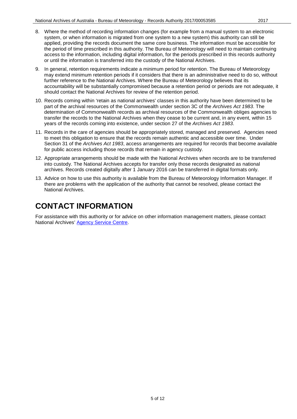- 
- 8. Where the method of recording information changes (for example from a manual system to an electronic system, or when information is migrated from one system to a new system) this authority can still be applied, providing the records document the same core business. The information must be accessible for the period of time prescribed in this authority. The Bureau of Meteorology will need to maintain continuing access to the information, including digital information, for the periods prescribed in this records authority or until the information is transferred into the custody of the National Archives.
- 9. In general, retention requirements indicate a minimum period for retention. The Bureau of Meteorology may extend minimum retention periods if it considers that there is an administrative need to do so, without further reference to the National Archives. Where the Bureau of Meteorology believes that its accountability will be substantially compromised because a retention period or periods are not adequate, it should contact the National Archives for review of the retention period.
- 10. Records coming within 'retain as national archives' classes in this authority have been determined to be part of the archival resources of the Commonwealth under section 3C of the *Archives Act 1983*. The determination of Commonwealth records as archival resources of the Commonwealth obliges agencies to transfer the records to the National Archives when they cease to be current and, in any event, within 15 years of the records coming into existence, under section 27 of the *Archives Act 1983*.
- 11. Records in the care of agencies should be appropriately stored, managed and preserved. Agencies need to meet this obligation to ensure that the records remain authentic and accessible over time. Under Section 31 of the *Archives Act 1983*, access arrangements are required for records that become available for public access including those records that remain in agency custody.
- 12. Appropriate arrangements should be made with the National Archives when records are to be transferred into custody. The National Archives accepts for transfer only those records designated as national archives. Records created digitally after 1 January 2016 can be transferred in digital formats only.
- 13. Advice on how to use this authority is available from the Bureau of Meteorology Information Manager. If there are problems with the application of the authority that cannot be resolved, please contact the National Archives.

#### <span id="page-4-0"></span>**CONTACT INFORMATION**

For assistance with this authority or for advice on other information management matters, please contact National Archives' [Agency Service Centre.](http://reftracker.naa.gov.au/reft000.aspx?pmi=jpGkKEm4vT)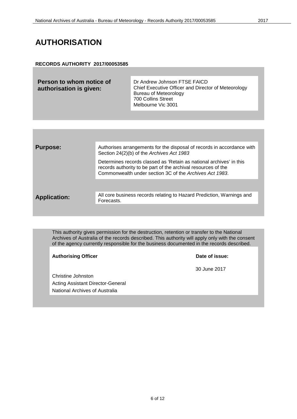#### <span id="page-5-0"></span>**AUTHORISATION**

#### **RECORDS AUTHORITY 2017/00053585**

| Person to whom notice of<br>authorisation is given: | Dr Andrew Johnson FTSE FAICD<br>Chief Executive Officer and Director of Meteorology<br>Bureau of Meteorology<br>700 Collins Street |
|-----------------------------------------------------|------------------------------------------------------------------------------------------------------------------------------------|
|                                                     | Melbourne Vic 3001                                                                                                                 |

| <b>Purpose:</b>     | Authorises arrangements for the disposal of records in accordance with<br>Section 24(2)(b) of the Archives Act 1983                                                                             |
|---------------------|-------------------------------------------------------------------------------------------------------------------------------------------------------------------------------------------------|
|                     | Determines records classed as 'Retain as national archives' in this<br>records authority to be part of the archival resources of the<br>Commonwealth under section 3C of the Archives Act 1983. |
|                     |                                                                                                                                                                                                 |
| <b>Application:</b> | All core business records relating to Hazard Prediction, Warnings and<br>Forecasts.                                                                                                             |
|                     |                                                                                                                                                                                                 |

This authority gives permission for the destruction, retention or transfer to the National Archives of Australia of the records described. This authority will apply only with the consent of the agency currently responsible for the business documented in the records described.

Authorising Officer **Contract Contract Contract Contract Contract Contract Contract Contract Contract Contract Contract Contract Contract Contract Contract Contract Contract Contract Contract Contract Contract Contract Con** 

30 June 2017

Christine Johnston Acting Assistant Director-General National Archives of Australia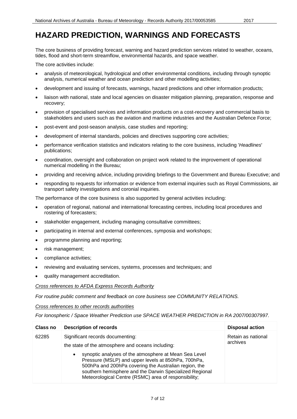<span id="page-6-0"></span>The core business of providing forecast, warning and hazard prediction services related to weather, oceans, tides, flood and short-term streamflow, environmental hazards, and space weather.

The core activities include:

- analysis of meteorological, hydrological and other environmental conditions, including through synoptic analysis, numerical weather and ocean prediction and other modelling activities;
- development and issuing of forecasts, warnings, hazard predictions and other information products;
- liaison with national, state and local agencies on disaster mitigation planning, preparation, response and recovery;
- provision of specialised services and information products on a cost-recovery and commercial basis to stakeholders and users such as the aviation and maritime industries and the Australian Defence Force;
- post-event and post-season analysis, case studies and reporting;
- development of internal standards, policies and directives supporting core activities;
- performance verification statistics and indicators relating to the core business, including '*Headlines*' publications;
- coordination, oversight and collaboration on project work related to the improvement of operational numerical modelling in the Bureau;
- providing and receiving advice, including providing briefings to the Government and Bureau Executive; and
- responding to requests for information or evidence from external inquiries such as Royal Commissions, air transport safety investigations and coronial inquiries.

The performance of the core business is also supported by general activities including:

- operation of regional, national and international forecasting centres, including local procedures and rostering of forecasters;
- stakeholder engagement, including managing consultative committees;
- participating in internal and external conferences, symposia and workshops;
- programme planning and reporting;
- risk management;
- compliance activities;
- reviewing and evaluating services, systems, processes and techniques; and
- quality management accreditation.

*Cross references to AFDA Express Records Authority*

*For routine public comment and feedback on core business see COMMUNITY RELATIONS.*

*Cross references to other records authorities*

*For Ionospheric / Space Weather Prediction use SPACE WEATHER PREDICTION in RA 2007/00307997.*

| Class no | <b>Description of records</b>                                                                                                                                                                                                                                                                                                                                                                  | <b>Disposal action</b>         |
|----------|------------------------------------------------------------------------------------------------------------------------------------------------------------------------------------------------------------------------------------------------------------------------------------------------------------------------------------------------------------------------------------------------|--------------------------------|
| 62285    | Significant records documenting:<br>the state of the atmosphere and oceans including:<br>synoptic analyses of the atmosphere at Mean Sea Level<br>$\bullet$<br>Pressure (MSLP) and upper levels at 850hPa, 700hPa,<br>500hPa and 200hPa covering the Australian region, the<br>southern hemisphere and the Darwin Specialized Regional<br>Meteorological Centre (RSMC) area of responsibility; | Retain as national<br>archives |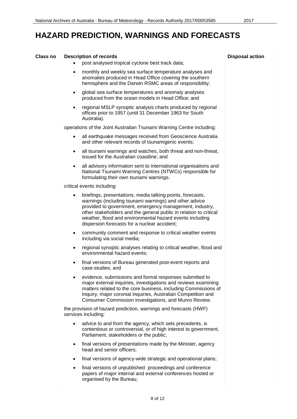| Class no | <b>Description of records</b>                                                                                                                                                                                                                                                                                                                                                 | <b>Disposal action</b> |
|----------|-------------------------------------------------------------------------------------------------------------------------------------------------------------------------------------------------------------------------------------------------------------------------------------------------------------------------------------------------------------------------------|------------------------|
|          | post analysed tropical cyclone best track data;<br>$\bullet$                                                                                                                                                                                                                                                                                                                  |                        |
|          | monthly and weekly sea surface temperature analyses and<br>$\bullet$<br>anomalies produced in Head Office covering the southern<br>hemisphere and the Darwin RSMC areas of responsibility;                                                                                                                                                                                    |                        |
|          | global sea surface temperatures and anomaly analyses<br>$\bullet$<br>produced from the ocean models in Head Office; and                                                                                                                                                                                                                                                       |                        |
|          | regional MSLP synoptic analysis charts produced by regional<br>$\bullet$<br>offices prior to 1957 (until 31 December 1963 for South<br>Australia).                                                                                                                                                                                                                            |                        |
|          | operations of the Joint Australian Tsunami Warning Centre including:                                                                                                                                                                                                                                                                                                          |                        |
|          | all earthquake messages received from Geoscience Australia<br>$\bullet$<br>and other relevant records of tsunamigenic events;                                                                                                                                                                                                                                                 |                        |
|          | all tsunami warnings and watches, both threat and non-threat,<br>$\bullet$<br>issued for the Australian coastline; and                                                                                                                                                                                                                                                        |                        |
|          | all advisory information sent to international organisations and<br>$\bullet$<br>National Tsunami Warning Centres (NTWCs) responsible for<br>formulating their own tsunami warnings.                                                                                                                                                                                          |                        |
|          | critical events including:                                                                                                                                                                                                                                                                                                                                                    |                        |
|          | briefings, presentations, media talking points, forecasts,<br>$\bullet$<br>warnings (including tsunami warnings) and other advice<br>provided to government, emergency management, industry,<br>other stakeholders and the general public in relation to critical<br>weather, flood and environmental hazard events including<br>dispersion forecasts for a nuclear accident; |                        |
|          | community comment and response to critical weather events<br>٠<br>including via social media;                                                                                                                                                                                                                                                                                 |                        |
|          | regional synoptic analyses relating to critical weather, flood and<br>$\bullet$<br>environmental hazard events;                                                                                                                                                                                                                                                               |                        |
|          | final versions of Bureau generated post-event reports and<br>٠<br>case-studies; and                                                                                                                                                                                                                                                                                           |                        |
|          | evidence, submissions and formal responses submitted to<br>٠<br>major external inquiries, investigations and reviews examining<br>matters related to the core business, including Commissions of<br>Inquiry, major coronial inquiries, Australian Competition and<br>Consumer Commission investigations, and Munro Review.                                                    |                        |
|          | the provision of hazard prediction, warnings and forecasts (HWF)<br>services including:                                                                                                                                                                                                                                                                                       |                        |
|          | advice to and from the agency, which sets precedents, is<br>$\bullet$<br>contentious or controversial, or of high interest to government,<br>Parliament, stakeholders or the public;                                                                                                                                                                                          |                        |
|          | final versions of presentations made by the Minister, agency<br>$\bullet$<br>head and senior officers;                                                                                                                                                                                                                                                                        |                        |
|          | final versions of agency-wide strategic and operational plans;<br>$\bullet$                                                                                                                                                                                                                                                                                                   |                        |
|          | final versions of unpublished proceedings and conference<br>٠<br>papers of major internal and external conferences hosted or<br>organised by the Bureau;                                                                                                                                                                                                                      |                        |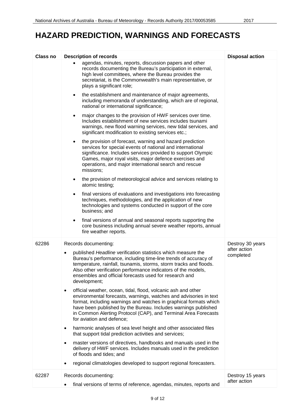| <b>Class no</b> | <b>Description of records</b>                                                                                                                                                                                                                                                                                                                                                         | <b>Disposal action</b>           |
|-----------------|---------------------------------------------------------------------------------------------------------------------------------------------------------------------------------------------------------------------------------------------------------------------------------------------------------------------------------------------------------------------------------------|----------------------------------|
|                 | agendas, minutes, reports, discussion papers and other<br>records documenting the Bureau's participation in external,<br>high level committees, where the Bureau provides the<br>secretariat, is the Commonwealth's main representative, or<br>plays a significant role;                                                                                                              |                                  |
|                 | the establishment and maintenance of major agreements,<br>$\bullet$<br>including memoranda of understanding, which are of regional,<br>national or international significance;                                                                                                                                                                                                        |                                  |
|                 | major changes to the provision of HWF services over time.<br>$\bullet$<br>Includes establishment of new services includes tsunami<br>warnings, new flood warning services, new tidal services, and<br>significant modification to existing services etc.;                                                                                                                             |                                  |
|                 | the provision of forecast, warning and hazard prediction<br>$\bullet$<br>services for special events of national and international<br>significance. Includes services provided to support Olympic<br>Games, major royal visits, major defence exercises and<br>operations, and major international search and rescue<br>missions;                                                     |                                  |
|                 | the provision of meteorological advice and services relating to<br>$\bullet$<br>atomic testing;                                                                                                                                                                                                                                                                                       |                                  |
|                 | final versions of evaluations and investigations into forecasting<br>$\bullet$<br>techniques, methodologies, and the application of new<br>technologies and systems conducted in support of the core<br>business; and                                                                                                                                                                 |                                  |
|                 | final versions of annual and seasonal reports supporting the<br>$\bullet$<br>core business including annual severe weather reports, annual<br>fire weather reports.                                                                                                                                                                                                                   |                                  |
| 62286           | Records documenting:                                                                                                                                                                                                                                                                                                                                                                  | Destroy 30 years                 |
|                 | published Headline verification statistics which measure the<br>٠<br>Bureau's performance, including time-line trends of accuracy of<br>temperature, rainfall, tsunamis, storms, storm tracks and floods.<br>Also other verification performance indicators of the models,<br>ensembles and official forecasts used for research and<br>development;                                  | after action<br>completed        |
|                 | official weather, ocean, tidal, flood, volcanic ash and other<br>$\bullet$<br>environmental forecasts, warnings, watches and advisories in text<br>format, including warnings and watches in graphical formats which<br>have been published by the Bureau. Includes warnings published<br>in Common Alerting Protocol (CAP), and Terminal Area Forecasts<br>for aviation and defence; |                                  |
|                 | harmonic analyses of sea level height and other associated files<br>$\bullet$<br>that support tidal prediction activities and services;                                                                                                                                                                                                                                               |                                  |
|                 | master versions of directives, handbooks and manuals used in the<br>$\bullet$<br>delivery of HWF services. Includes manuals used in the prediction<br>of floods and tides; and                                                                                                                                                                                                        |                                  |
|                 | regional climatologies developed to support regional forecasters.                                                                                                                                                                                                                                                                                                                     |                                  |
| 62287           | Records documenting:                                                                                                                                                                                                                                                                                                                                                                  | Destroy 15 years<br>after action |
|                 | final versions of terms of reference, agendas, minutes, reports and                                                                                                                                                                                                                                                                                                                   |                                  |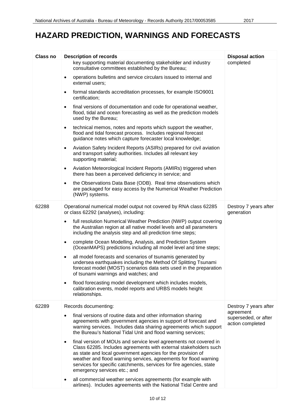| Class no | <b>Description of records</b>                                                                                                                                                                                                                                                                                                                                                        | <b>Disposal action</b>                                |
|----------|--------------------------------------------------------------------------------------------------------------------------------------------------------------------------------------------------------------------------------------------------------------------------------------------------------------------------------------------------------------------------------------|-------------------------------------------------------|
|          | key supporting material documenting stakeholder and industry<br>consultative committees established by the Bureau;                                                                                                                                                                                                                                                                   | completed                                             |
|          | operations bulletins and service circulars issued to internal and<br>$\bullet$<br>external users;                                                                                                                                                                                                                                                                                    |                                                       |
|          | formal standards accreditation processes, for example ISO9001<br>$\bullet$<br>certification;                                                                                                                                                                                                                                                                                         |                                                       |
|          | final versions of documentation and code for operational weather,<br>$\bullet$<br>flood, tidal and ocean forecasting as well as the prediction models<br>used by the Bureau;                                                                                                                                                                                                         |                                                       |
|          | technical memos, notes and reports which support the weather,<br>٠<br>flood and tidal forecast process. Includes regional forecast<br>guidance notes which capture forecaster local knowledge;                                                                                                                                                                                       |                                                       |
|          | Aviation Safety Incident Reports (ASIRs) prepared for civil aviation<br>$\bullet$<br>and transport safety authorities. Includes all relevant key<br>supporting material;                                                                                                                                                                                                             |                                                       |
|          | Aviation Meteorological Incident Reports (AMIRs) triggered when<br>$\bullet$<br>there has been a perceived deficiency in service; and                                                                                                                                                                                                                                                |                                                       |
|          | the Observations Data Base (ODB). Real time observations which<br>$\bullet$<br>are packaged for easy access by the Numerical Weather Prediction<br>(NWP) systems.                                                                                                                                                                                                                    |                                                       |
| 62288    | Operational numerical model output not covered by RNA class 62285<br>or class 62292 (analyses), including:                                                                                                                                                                                                                                                                           | Destroy 7 years after<br>generation                   |
|          | full resolution Numerical Weather Prediction (NWP) output covering<br>$\bullet$<br>the Australian region at all native model levels and all parameters<br>including the analysis step and all prediction time steps;                                                                                                                                                                 |                                                       |
|          | complete Ocean Modelling, Analysis, and Prediction System<br>$\bullet$<br>(OceanMAPS) predictions including all model level and time steps;                                                                                                                                                                                                                                          |                                                       |
|          | all model forecasts and scenarios of tsunamis generated by<br>$\bullet$<br>undersea earthquakes including the Method Of Splitting Tsunami<br>forecast model (MOST) scenarios data sets used in the preparation<br>of tsunami warnings and watches; and                                                                                                                               |                                                       |
|          | flood forecasting model development which includes models,<br>٠<br>calibration events, model reports and URBS models height<br>relationships.                                                                                                                                                                                                                                        |                                                       |
| 62289    | Records documenting:                                                                                                                                                                                                                                                                                                                                                                 | Destroy 7 years after                                 |
|          | final versions of routine data and other information sharing<br>$\bullet$<br>agreements with government agencies in support of forecast and<br>warning services. Includes data sharing agreements which support<br>the Bureau's National Tidal Unit and flood warning services;                                                                                                      | agreement<br>superseded, or after<br>action completed |
|          | final version of MOUs and service level agreements not covered in<br>٠<br>Class 62285. Includes agreements with external stakeholders such<br>as state and local government agencies for the provision of<br>weather and flood warning services, agreements for flood warning<br>services for specific catchments, services for fire agencies, state<br>emergency services etc.; and |                                                       |
|          | all commercial weather services agreements (for example with<br>airlines). Includes agreements with the National Tidal Centre and                                                                                                                                                                                                                                                    |                                                       |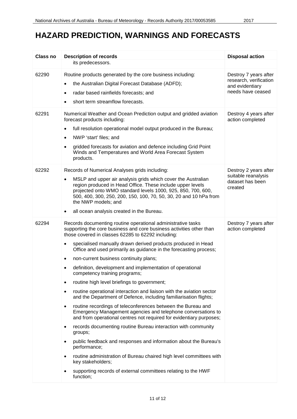| <b>Class no</b> | <b>Description of records</b>                                                                                                                                                                                                                                                                                                                                                                                                                                                                                                                                                                                                                                                                                                                                                                                                                                                                                                                                                                                                                                                                                                                                                                                                                                                                                   | <b>Disposal action</b>                                                                  |
|-----------------|-----------------------------------------------------------------------------------------------------------------------------------------------------------------------------------------------------------------------------------------------------------------------------------------------------------------------------------------------------------------------------------------------------------------------------------------------------------------------------------------------------------------------------------------------------------------------------------------------------------------------------------------------------------------------------------------------------------------------------------------------------------------------------------------------------------------------------------------------------------------------------------------------------------------------------------------------------------------------------------------------------------------------------------------------------------------------------------------------------------------------------------------------------------------------------------------------------------------------------------------------------------------------------------------------------------------|-----------------------------------------------------------------------------------------|
|                 | its predecessors.                                                                                                                                                                                                                                                                                                                                                                                                                                                                                                                                                                                                                                                                                                                                                                                                                                                                                                                                                                                                                                                                                                                                                                                                                                                                                               |                                                                                         |
| 62290           | Routine products generated by the core business including:<br>the Australian Digital Forecast Database (ADFD);<br>$\bullet$<br>radar based rainfields forecasts; and<br>short term streamflow forecasts.                                                                                                                                                                                                                                                                                                                                                                                                                                                                                                                                                                                                                                                                                                                                                                                                                                                                                                                                                                                                                                                                                                        | Destroy 7 years after<br>research, verification<br>and evidentiary<br>needs have ceased |
| 62291           | Numerical Weather and Ocean Prediction output and gridded aviation<br>forecast products including:<br>full resolution operational model output produced in the Bureau;<br>NWP 'start' files; and<br>$\bullet$<br>gridded forecasts for aviation and defence including Grid Point<br>Winds and Temperatures and World Area Forecast System<br>products.                                                                                                                                                                                                                                                                                                                                                                                                                                                                                                                                                                                                                                                                                                                                                                                                                                                                                                                                                          | Destroy 4 years after<br>action completed                                               |
| 62292           | Records of Numerical Analyses grids including:<br>MSLP and upper air analysis grids which cover the Australian<br>$\bullet$<br>region produced in Head Office. These include upper levels<br>projected onto WMO standard levels 1000, 925, 850, 700, 600,<br>500, 400, 300, 250, 200, 150, 100, 70, 50, 30, 20 and 10 hPa from<br>the NWP models; and<br>all ocean analysis created in the Bureau.<br>$\bullet$                                                                                                                                                                                                                                                                                                                                                                                                                                                                                                                                                                                                                                                                                                                                                                                                                                                                                                 | Destroy 2 years after<br>suitable reanalysis<br>dataset has been<br>created             |
| 62294           | Records documenting routine operational administrative tasks<br>supporting the core business and core business activities other than<br>those covered in classes 62285 to 62292 including:<br>specialised manually drawn derived products produced in Head<br>$\bullet$<br>Office and used primarily as guidance in the forecasting process;<br>non-current business continuity plans;<br>$\bullet$<br>definition, development and implementation of operational<br>$\bullet$<br>competency training programs;<br>routine high level briefings to government;<br>$\bullet$<br>routine operational interaction and liaison with the aviation sector<br>$\bullet$<br>and the Department of Defence, including familiarisation flights;<br>routine recordings of teleconferences between the Bureau and<br>$\bullet$<br>Emergency Management agencies and telephone conversations to<br>and from operational centres not required for evidentiary purposes;<br>records documenting routine Bureau interaction with community<br>$\bullet$<br>groups;<br>public feedback and responses and information about the Bureau's<br>performance;<br>routine administration of Bureau chaired high level committees with<br>key stakeholders;<br>supporting records of external committees relating to the HWF<br>function; | Destroy 7 years after<br>action completed                                               |